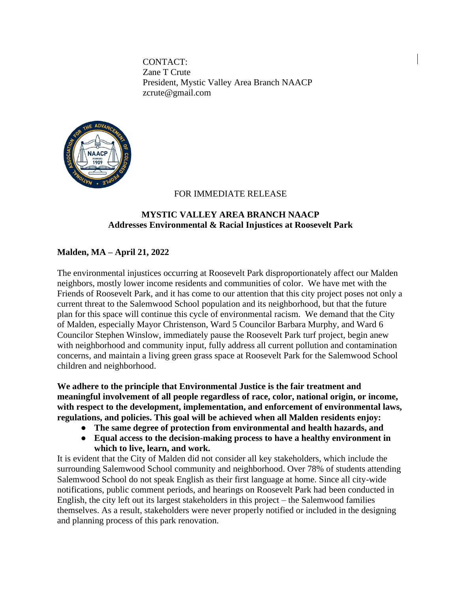CONTACT: Zane T Crute President, Mystic Valley Area Branch NAACP zcrute@gmail.com



## FOR IMMEDIATE RELEASE

## **MYSTIC VALLEY AREA BRANCH NAACP Addresses Environmental & Racial Injustices at Roosevelt Park**

## **Malden, MA – April 21, 2022**

The environmental injustices occurring at Roosevelt Park disproportionately affect our Malden neighbors, mostly lower income residents and communities of color. We have met with the Friends of Roosevelt Park, and it has come to our attention that this city project poses not only a current threat to the Salemwood School population and its neighborhood, but that the future plan for this space will continue this cycle of environmental racism. We demand that the City of Malden, especially Mayor Christenson, Ward 5 Councilor Barbara Murphy, and Ward 6 Councilor Stephen Winslow, immediately pause the Roosevelt Park turf project, begin anew with neighborhood and community input, fully address all current pollution and contamination concerns, and maintain a living green grass space at Roosevelt Park for the Salemwood School children and neighborhood.

**We adhere to the principle that Environmental Justice is the fair treatment and meaningful involvement of all people regardless of race, color, national origin, or income, with respect to the development, implementation, and enforcement of environmental laws, regulations, and policies. This goal will be achieved when all Malden residents enjoy:**

- **The same degree of protection from environmental and health hazards, and**
- **Equal access to the decision-making process to have a healthy environment in which to live, learn, and work.**

It is evident that the City of Malden did not consider all key stakeholders, which include the surrounding Salemwood School community and neighborhood. Over 78% of students attending Salemwood School do not speak English as their first language at home. Since all city-wide notifications, public comment periods, and hearings on Roosevelt Park had been conducted in English, the city left out its largest stakeholders in this project – the Salemwood families themselves. As a result, stakeholders were never properly notified or included in the designing and planning process of this park renovation.